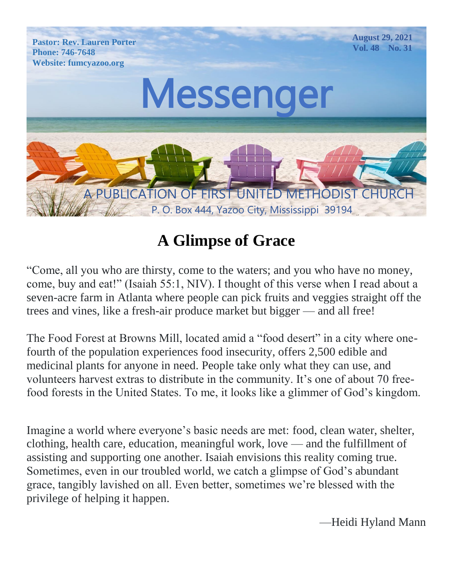

# **A Glimpse of Grace**

"Come, all you who are thirsty, come to the waters; and you who have no money, come, buy and eat!" (Isaiah 55:1, NIV). I thought of this verse when I read about a seven-acre farm in Atlanta where people can pick fruits and veggies straight off the trees and vines, like a fresh-air produce market but bigger — and all free!

The Food Forest at Browns Mill, located amid a "food desert" in a city where onefourth of the population experiences food insecurity, offers 2,500 edible and medicinal plants for anyone in need. People take only what they can use, and volunteers harvest extras to distribute in the community. It's one of about 70 freefood forests in the United States. To me, it looks like a glimmer of God's kingdom.

Imagine a world where everyone's basic needs are met: food, clean water, shelter, clothing, health care, education, meaningful work, love — and the fulfillment of assisting and supporting one another. Isaiah envisions this reality coming true. Sometimes, even in our troubled world, we catch a glimpse of God's abundant grace, tangibly lavished on all. Even better, sometimes we're blessed with the privilege of helping it happen.

—Heidi Hyland Mann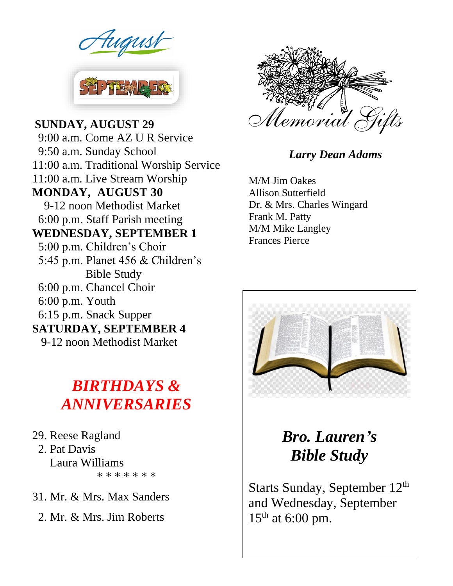

Parties and Property **MONDAY, AUGUST 30** 9-12 noon Methodist Market **SUNDAY, AUGUST 29** 9:00 a.m. Come AZ U R Service 9:50 a.m. Sunday School 11:00 a.m. Traditional Worship Service 11:00 a.m. Live Stream Worship 6:00 p.m. Staff Parish meeting **WEDNESDAY, SEPTEMBER 1** 5:00 p.m. Children's Choir 5:45 p.m. Planet 456 & Children's Bible Study 6:00 p.m. Chancel Choir 6:00 p.m. Youth 6:15 p.m. Snack Supper **SATURDAY, SEPTEMBER 4** 9-12 noon Methodist Market

# *BIRTHDAYS & ANNIVERSARIES*

29. Reese Ragland 2. Pat Davis Laura Williams \* \* \* \* \* \* \*

31. Mr. & Mrs. Max Sanders

2. Mr. & Mrs. Jim Roberts



#### *Larry Dean Adams*

M/M Jim Oakes Allison Sutterfield Dr. & Mrs. Charles Wingard Frank M. Patty M/M Mike Langley Frances Pierce



*Bro. Lauren's Bible Study*

Starts Sunday, September 12<sup>th</sup> and Wednesday, September  $15<sup>th</sup>$  at 6:00 pm.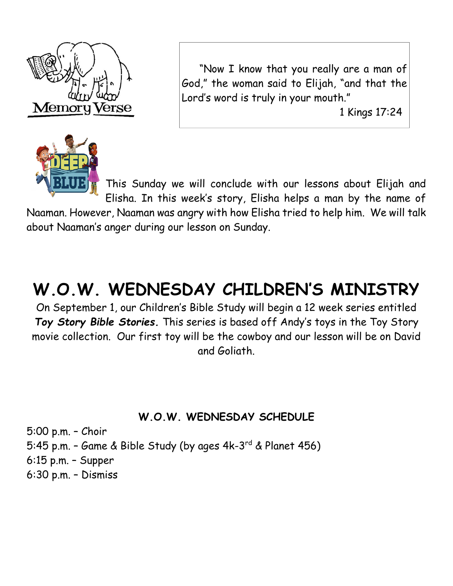



 "Now I know that you really are a man of God," the woman said to Elijah, "and that the Lord's word is truly in your mouth."

1 Kings 17:24

This Sunday we will conclude with our lessons about Elijah and Elisha. In this week's story, Elisha helps a man by the name of

Naaman. However, Naaman was angry with how Elisha tried to help him. We will talk about Naaman's anger during our lesson on Sunday.

# **W.O.W. WEDNESDAY CHILDREN'S MINISTRY**

On September 1, our Children's Bible Study will begin a 12 week series entitled *Toy Story Bible Stories.* This series is based off Andy's toys in the Toy Story movie collection. Our first toy will be the cowboy and our lesson will be on David and Goliath.

#### **W.O.W. WEDNESDAY SCHEDULE**

5:00 p.m. – Choir 5:45 p.m. – Game & Bible Study (by ages 4k-3 rd & Planet 456) 6:15 p.m. – Supper 6:30 p.m. – Dismiss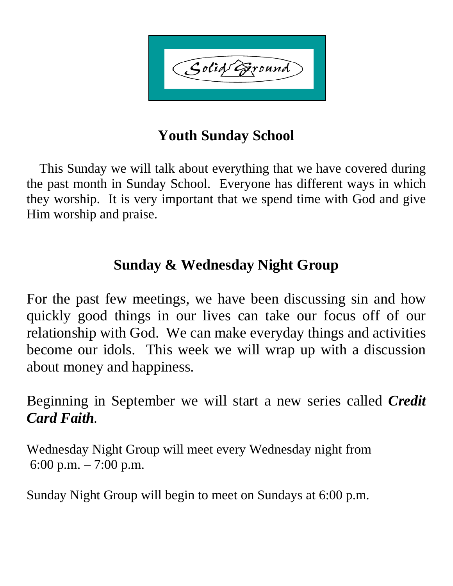Solid Eround

## **Youth Sunday School**

 This Sunday we will talk about everything that we have covered during the past month in Sunday School. Everyone has different ways in which they worship. It is very important that we spend time with God and give Him worship and praise.

## **Sunday & Wednesday Night Group**

For the past few meetings, we have been discussing sin and how quickly good things in our lives can take our focus off of our relationship with God. We can make everyday things and activities become our idols. This week we will wrap up with a discussion about money and happiness.

Beginning in September we will start a new series called *Credit Card Faith.*

Wednesday Night Group will meet every Wednesday night from 6:00 p.m.  $-7:00$  p.m.

Sunday Night Group will begin to meet on Sundays at 6:00 p.m.